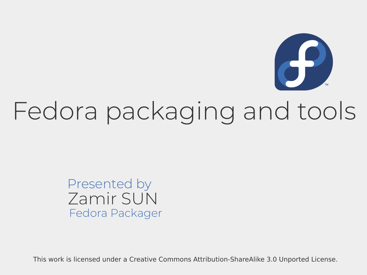

### Fedora packaging and tools

#### Zamir SUN Presented by Fedora Packager

This work is licensed under a Creative Commons Attribution-ShareAlike 3.0 Unported License.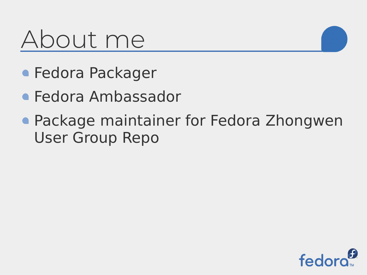#### About me

- **Fedora Packager**
- Fedora Ambassador
- **Package maintainer for Fedora Zhongwen** User Group Repo

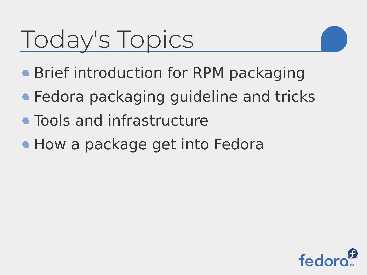### Today's Topics

- **Brief introduction for RPM packaging**
- **Fedora packaging guideline and tricks**
- Tools and infrastructure
- **. How a package get into Fedora**

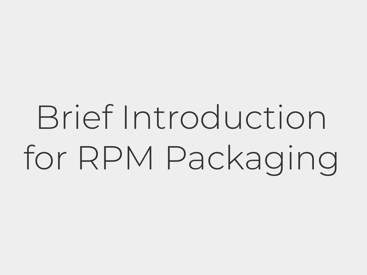# Brief Introduction for RPM Packaging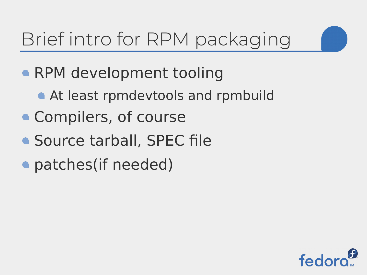#### Brief intro for RPM packaging

- RPM development tooling
	- **At least rpmdevtools and rpmbuild**
- Compilers, of course
- Source tarball, SPEC file
- patches (if needed)

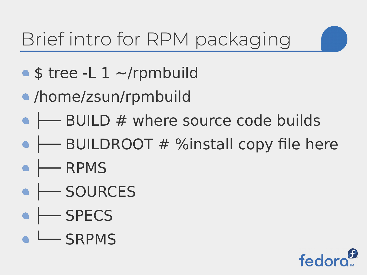#### Brief intro for RPM packaging

- $\bullet$  \$ tree -L 1 ~/rpmbuild
- /home/zsun/rpmbuild
- $\bullet$   $\rightarrow$  BUILD # where source code builds
- $\rightarrow$  BUILDROOT # %install copy file here
- $\leftarrow$  RPMS
- FSOURCES
- $\bullet \leftarrow$  SPECS
- LUSRPMS

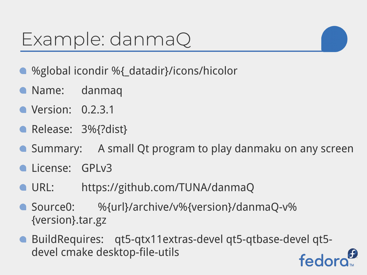- %global icondir %{\_datadir}/icons/hicolor
- Name: danmaq
- **•** Version: 0.2.3.1
- Release: 3%{?dist}
- **Summary:** A small Qt program to play danmaku on any screen
- **Calicense: GPLv3**
- URL: https://github.com/TUNA/danmaQ
- Source0: %{url}/archive/v%{version}/danmaQ-v% {version}.tar.gz
- BuildRequires: qt5-qtx11extras-devel qt5-qtbase-devel qt5 devel cmake desktop-file-utils fedo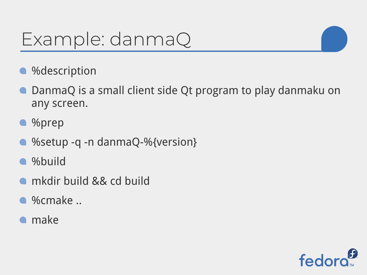- **%description**
- DanmaQ is a small client side Qt program to play danmaku on any screen.
- %prep
- %setup -q -n danmaQ-%{version}
- **•** %build
- **n**kdir build && cd build
- %cmake ..
- **•** make

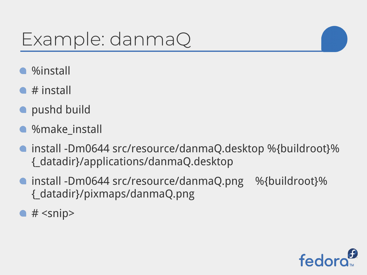- %install
- $\bullet$  # install
- **o** pushd build
- %make\_install
- install -Dm0644 src/resource/danmaQ.desktop %{buildroot}% {\_datadir}/applications/danmaQ.desktop
- install -Dm0644 src/resource/danmaQ.png %{buildroot}% {\_datadir}/pixmaps/danmaQ.png
- $\bullet$  # <snip>

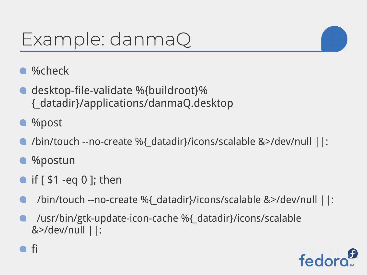- %check
- desktop-file-validate %{buildroot}% {\_datadir}/applications/danmaQ.desktop
- %post
- /bin/touch --no-create %{\_datadir}/icons/scalable &>/dev/null ||:
- %postun

fi

- if [ \$1 -eq 0 ]; then
- /bin/touch --no-create %{\_datadir}/icons/scalable &>/dev/null ||:
- /usr/bin/gtk-update-icon-cache %{\_datadir}/icons/scalable &>/dev/null ||:

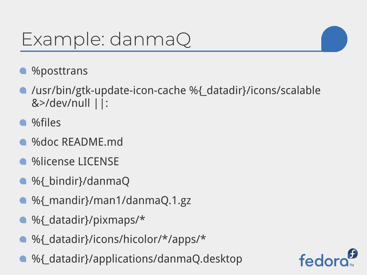- **%posttrans**
- /usr/bin/gtk-update-icon-cache %{\_datadir}/icons/scalable &>/dev/null ||:
- %files
- %doc README.md
- **%license LICENSE**
- %{ bindir}/danmaQ
- %{\_mandir}/man1/danmaQ.1.gz
- %{\_datadir}/pixmaps/\*
- %{\_datadir}/icons/hicolor/\*/apps/\*
- $\bullet$  %{\_datadir}/applications/danmaQ.desktop

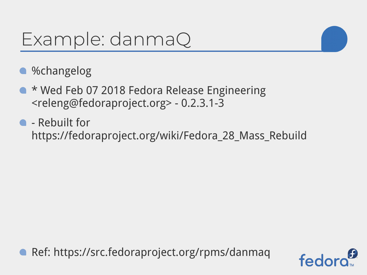

- \* Wed Feb 07 2018 Fedora Release Engineering <releng@fedoraproject.org> - 0.2.3.1-3
- **C** Rebuilt for https://fedoraproject.org/wiki/Fedora\_28\_Mass\_Rebuild

Ref: https://src.fedoraproject.org/rpms/danmaq

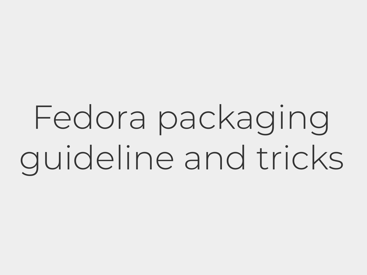## Fedora packaging guideline and tricks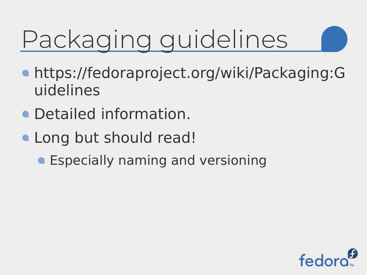## Packaging guidelines

- https://fedoraproject.org/wiki/Packaging:G uidelines
- Detailed information.
- Long but should read!
	- **Especially naming and versioning**

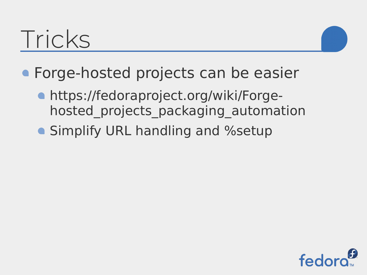#### Tricks



- **Forge-hosted projects can be easier** 
	- https://fedoraproject.org/wiki/Forgehosted projects packaging automation
	- **Simplify URL handling and %setup**

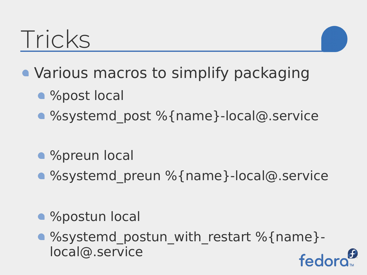#### Tricks



- %post local
- %systemd post %{name}-local@.service
- %preun local
- %systemd preun %{name}-local@.service
- %postun local
- %systemd postun with restart %{name}local@.service fed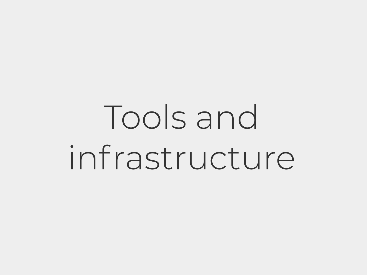## Tools and infrastructure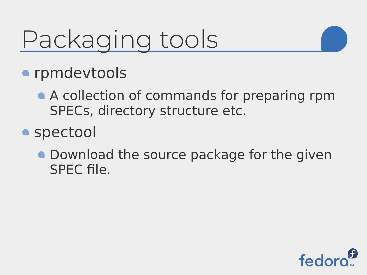### Packaging tools



- **•** rpmdevtools
	- A collection of commands for preparing rpm SPECs, directory structure etc.
- **•** spectool
	- **Download the source package for the given** SPEC file.

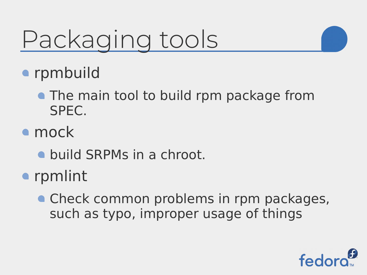### Packaging tools



- rpmbuild
	- **The main tool to build rpm package from** SPEC.
- mock
	- **build SRPMs in a chroot.**
- rpmlint
	- Check common problems in rpm packages, such as typo, improper usage of things

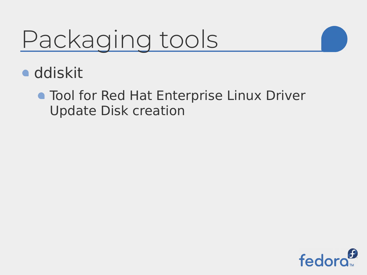### Packaging tools

- **ddiskit** 
	- **Tool for Red Hat Enterprise Linux Driver** Update Disk creation

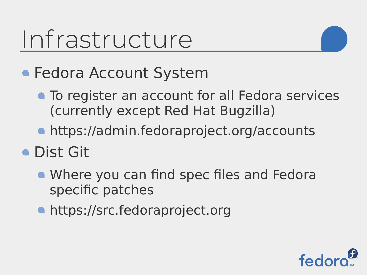#### **• Fedora Account System**

- **To register an account for all Fedora services** (currently except Red Hat Bugzilla)
- https://admin.fedoraproject.org/accounts
- **Dist Git** 
	- Where you can find spec files and Fedora specific patches
	- https://src.fedoraproject.org

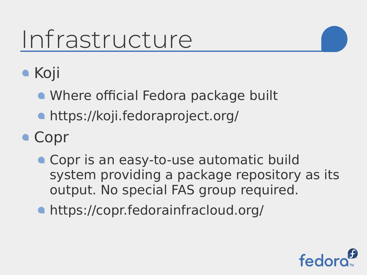

- Where official Fedora package built
- https://koji.fedoraproject.org/
- Copr
	- Copr is an easy-to-use automatic build system providing a package repository as its output. No special FAS group required.
	- https://copr.fedorainfracloud.org/

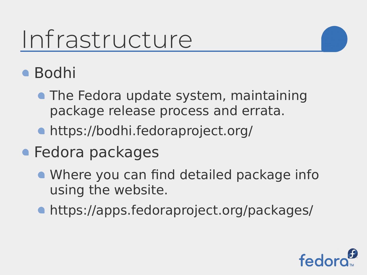- Bodhi
	- The Fedora update system, maintaining package release process and errata.
	- https://bodhi.fedoraproject.org/
- **Fedora packages** 
	- Where you can find detailed package info using the website.
	- https://apps.fedoraproject.org/packages/

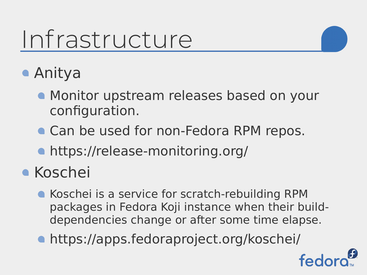- Anitya
	- **Monitor upstream releases based on your** configuration.
	- Can be used for non-Fedora RPM repos.
	- https://release-monitoring.org/
- **Koschei** 
	- **Koschei is a service for scratch-rebuilding RPM** packages in Fedora Koji instance when their builddependencies change or after some time elapse.
	- https://apps.fedoraproject.org/koschei/

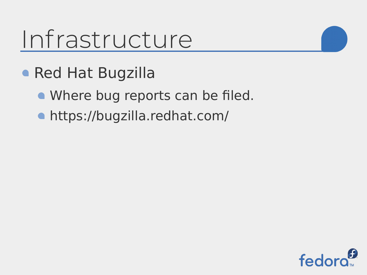- Red Hat Bugzilla
	- Where bug reports can be filed.
	- https://bugzilla.redhat.com/

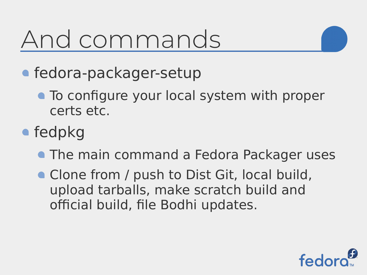### And commands



- fedora-packager-setup
	- To configure your local system with proper certs etc.
- fedpkg
	- **The main command a Fedora Packager uses**
	- Clone from / push to Dist Git, local build, upload tarballs, make scratch build and official build, file Bodhi updates.

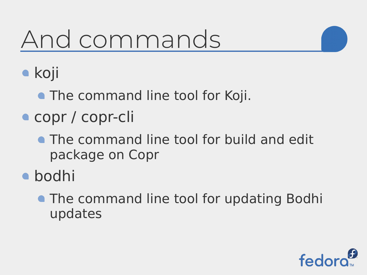### And commands



**•** koji

- **The command line tool for Koji.**
- copr / copr-cli
	- **The command line tool for build and edit** package on Copr
- bodhi
	- **The command line tool for updating Bodhi** updates

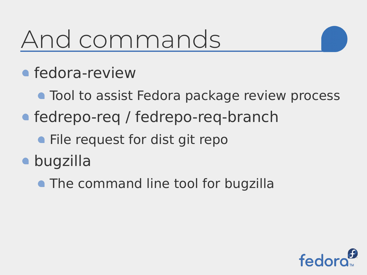#### And commands

- **•** fedora-review
	- **Tool to assist Fedora package review process**
- fedrepo-req / fedrepo-req-branch
	- **File request for dist git repo**
- bugzilla
	- **The command line tool for bugzilla**

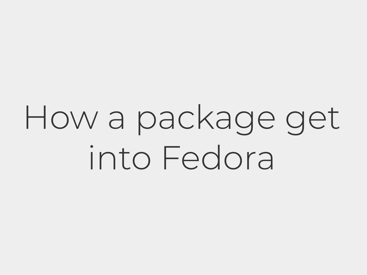## How a package get into Fedora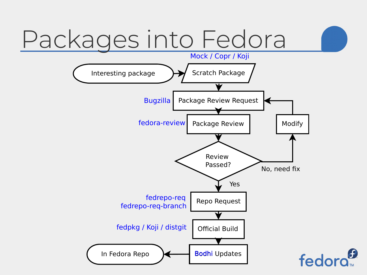### Packages into Fedora

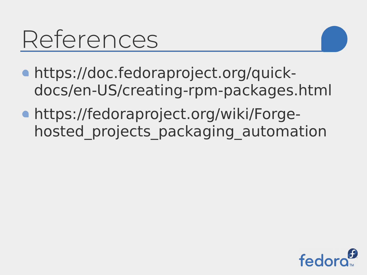#### References

- https://doc.fedoraproject.org/quickdocs/en-US/creating-rpm-packages.html
- https://fedoraproject.org/wiki/Forgehosted projects packaging automation

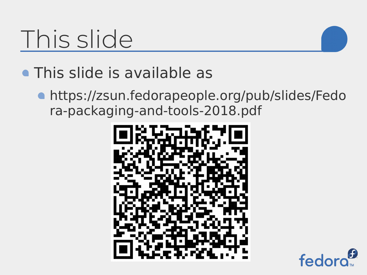### This slide

- **This slide is available as** 
	- https://zsun.fedorapeople.org/pub/slides/Fedo ra-packaging-and-tools-2018.pdf